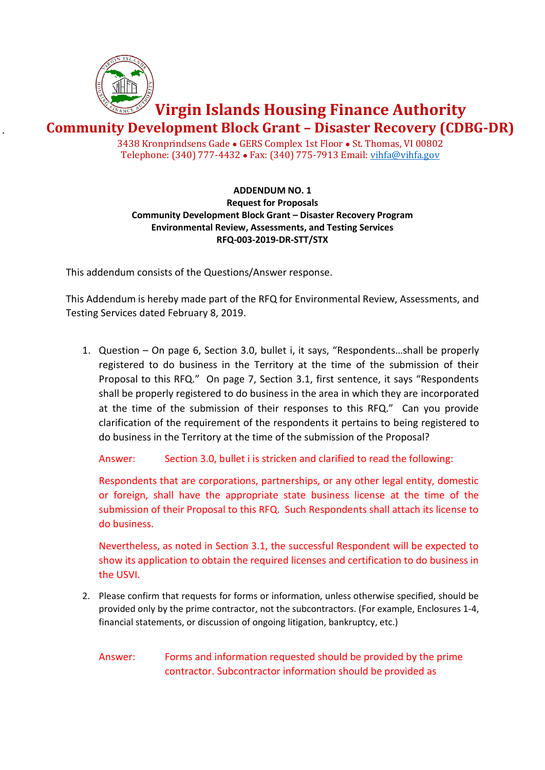

.

## **Virgin Islands Housing Finance Authority**

**Community Development Block Grant – Disaster Recovery (CDBG-DR)**

3438 Kronprindsens Gade ● GERS Complex 1st Floor ● St. Thomas, VI 00802 Telephone: (340) 777-4432 ● Fax: (340) 775-7913 Email[: vihfa@vihfa.gov](mailto:vihfa@vihfa.gov)

## **ADDENDUM NO. 1 Request for Proposals Community Development Block Grant – Disaster Recovery Program Environmental Review, Assessments, and Testing Services RFQ-003-2019-DR-STT/STX**

This addendum consists of the Questions/Answer response.

This Addendum is hereby made part of the RFQ for Environmental Review, Assessments, and Testing Services dated February 8, 2019.

1. Question – On page 6, Section 3.0, bullet i, it says, "Respondents…shall be properly registered to do business in the Territory at the time of the submission of their Proposal to this RFQ." On page 7, Section 3.1, first sentence, it says "Respondents shall be properly registered to do business in the area in which they are incorporated at the time of the submission of their responses to this RFQ." Can you provide clarification of the requirement of the respondents it pertains to being registered to do business in the Territory at the time of the submission of the Proposal?

Answer: Section 3.0, bullet i is stricken and clarified to read the following:

Respondents that are corporations, partnerships, or any other legal entity, domestic or foreign, shall have the appropriate state business license at the time of the submission of their Proposal to this RFQ. Such Respondents shall attach its license to do business.

Nevertheless, as noted in Section 3.1, the successful Respondent will be expected to show its application to obtain the required licenses and certification to do business in the USVI.

2. Please confirm that requests for forms or information, unless otherwise specified, should be provided only by the prime contractor, not the subcontractors. (For example, Enclosures 1-4, financial statements, or discussion of ongoing litigation, bankruptcy, etc.)

Answer: Forms and information requested should be provided by the prime contractor. Subcontractor information should be provided as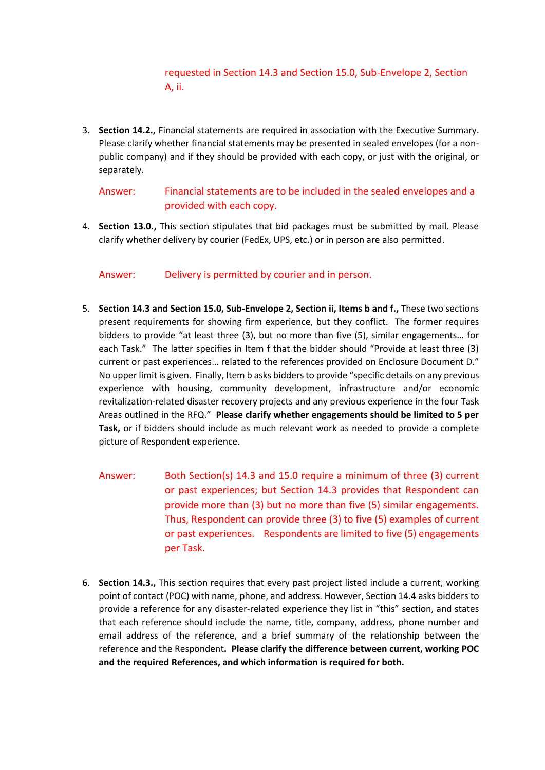## requested in Section 14.3 and Section 15.0, Sub-Envelope 2, Section A, ii.

3. **Section 14.2.,** Financial statements are required in association with the Executive Summary. Please clarify whether financial statements may be presented in sealed envelopes (for a nonpublic company) and if they should be provided with each copy, or just with the original, or separately.

Answer: Financial statements are to be included in the sealed envelopes and a provided with each copy.

4. **Section 13.0.,** This section stipulates that bid packages must be submitted by mail. Please clarify whether delivery by courier (FedEx, UPS, etc.) or in person are also permitted.

Answer: Delivery is permitted by courier and in person.

- 5. **Section 14.3 and Section 15.0, Sub-Envelope 2, Section ii, Items b and f.,** These two sections present requirements for showing firm experience, but they conflict. The former requires bidders to provide "at least three (3), but no more than five (5), similar engagements… for each Task." The latter specifies in Item f that the bidder should "Provide at least three (3) current or past experiences… related to the references provided on Enclosure Document D." No upper limit is given. Finally, Item b asks bidders to provide "specific details on any previous experience with housing, community development, infrastructure and/or economic revitalization-related disaster recovery projects and any previous experience in the four Task Areas outlined in the RFQ." **Please clarify whether engagements should be limited to 5 per Task,** or if bidders should include as much relevant work as needed to provide a complete picture of Respondent experience.
	- Answer: Both Section(s) 14.3 and 15.0 require a minimum of three (3) current or past experiences; but Section 14.3 provides that Respondent can provide more than (3) but no more than five (5) similar engagements. Thus, Respondent can provide three (3) to five (5) examples of current or past experiences. Respondents are limited to five (5) engagements per Task.
- 6. **Section 14.3.,** This section requires that every past project listed include a current, working point of contact (POC) with name, phone, and address. However, Section 14.4 asks bidders to provide a reference for any disaster-related experience they list in "this" section, and states that each reference should include the name, title, company, address, phone number and email address of the reference, and a brief summary of the relationship between the reference and the Respondent**. Please clarify the difference between current, working POC and the required References, and which information is required for both.**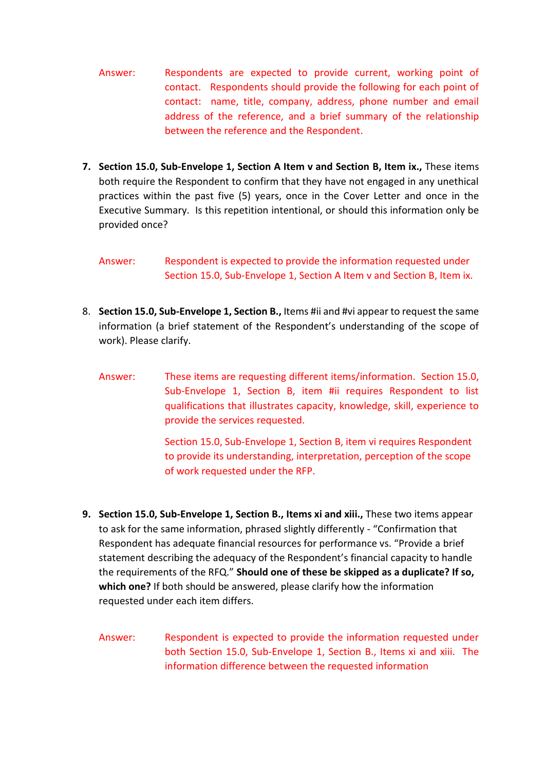- Answer: Respondents are expected to provide current, working point of contact. Respondents should provide the following for each point of contact: name, title, company, address, phone number and email address of the reference, and a brief summary of the relationship between the reference and the Respondent.
- **7. Section 15.0, Sub-Envelope 1, Section A Item v and Section B, Item ix.,** These items both require the Respondent to confirm that they have not engaged in any unethical practices within the past five (5) years, once in the Cover Letter and once in the Executive Summary. Is this repetition intentional, or should this information only be provided once?

## Answer: Respondent is expected to provide the information requested under Section 15.0, Sub-Envelope 1, Section A Item v and Section B, Item ix.

- 8. **Section 15.0, Sub-Envelope 1, Section B.,** Items #ii and #vi appear to request the same information (a brief statement of the Respondent's understanding of the scope of work). Please clarify.
	- Answer: These items are requesting different items/information. Section 15.0, Sub-Envelope 1, Section B, item #ii requires Respondent to list qualifications that illustrates capacity, knowledge, skill, experience to provide the services requested.

Section 15.0, Sub-Envelope 1, Section B, item vi requires Respondent to provide its understanding, interpretation, perception of the scope of work requested under the RFP.

- **9. Section 15.0, Sub-Envelope 1, Section B., Items xi and xiii.,** These two items appear to ask for the same information, phrased slightly differently - "Confirmation that Respondent has adequate financial resources for performance vs. "Provide a brief statement describing the adequacy of the Respondent's financial capacity to handle the requirements of the RFQ." **Should one of these be skipped as a duplicate? If so, which one?** If both should be answered, please clarify how the information requested under each item differs.
	- Answer: Respondent is expected to provide the information requested under both Section 15.0, Sub-Envelope 1, Section B., Items xi and xiii. The information difference between the requested information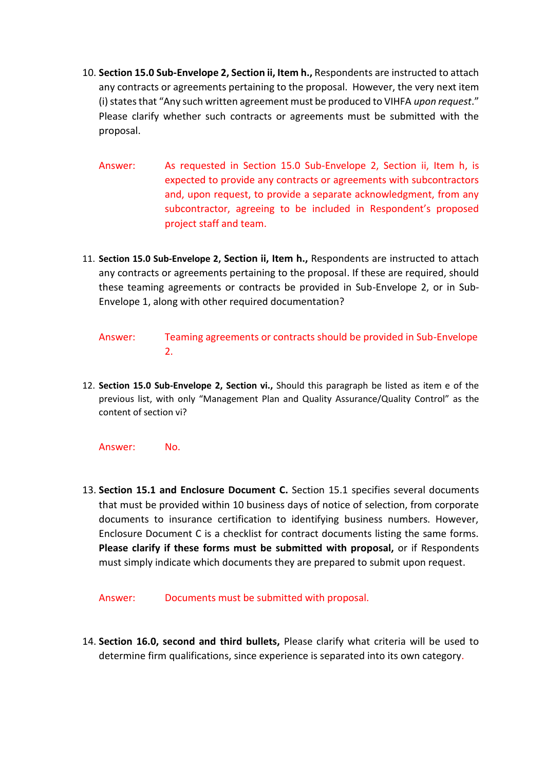- 10. **Section 15.0 Sub-Envelope 2, Section ii, Item h.,** Respondents are instructed to attach any contracts or agreements pertaining to the proposal. However, the very next item (i) states that "Any such written agreement must be produced to VIHFA *upon request*." Please clarify whether such contracts or agreements must be submitted with the proposal.
	- Answer: As requested in Section 15.0 Sub-Envelope 2, Section ii, Item h, is expected to provide any contracts or agreements with subcontractors and, upon request, to provide a separate acknowledgment, from any subcontractor, agreeing to be included in Respondent's proposed project staff and team.
- 11. **Section 15.0 Sub-Envelope 2, Section ii, Item h.,** Respondents are instructed to attach any contracts or agreements pertaining to the proposal. If these are required, should these teaming agreements or contracts be provided in Sub-Envelope 2, or in Sub-Envelope 1, along with other required documentation?
	- Answer: Teaming agreements or contracts should be provided in Sub-Envelope 2.
- 12. **Section 15.0 Sub-Envelope 2, Section vi.,** Should this paragraph be listed as item e of the previous list, with only "Management Plan and Quality Assurance/Quality Control" as the content of section vi?
	- Answer: No.
- 13. **Section 15.1 and Enclosure Document C.** Section 15.1 specifies several documents that must be provided within 10 business days of notice of selection, from corporate documents to insurance certification to identifying business numbers. However, Enclosure Document C is a checklist for contract documents listing the same forms. **Please clarify if these forms must be submitted with proposal,** or if Respondents must simply indicate which documents they are prepared to submit upon request.

Answer: Documents must be submitted with proposal.

14. **Section 16.0, second and third bullets,** Please clarify what criteria will be used to determine firm qualifications, since experience is separated into its own category.